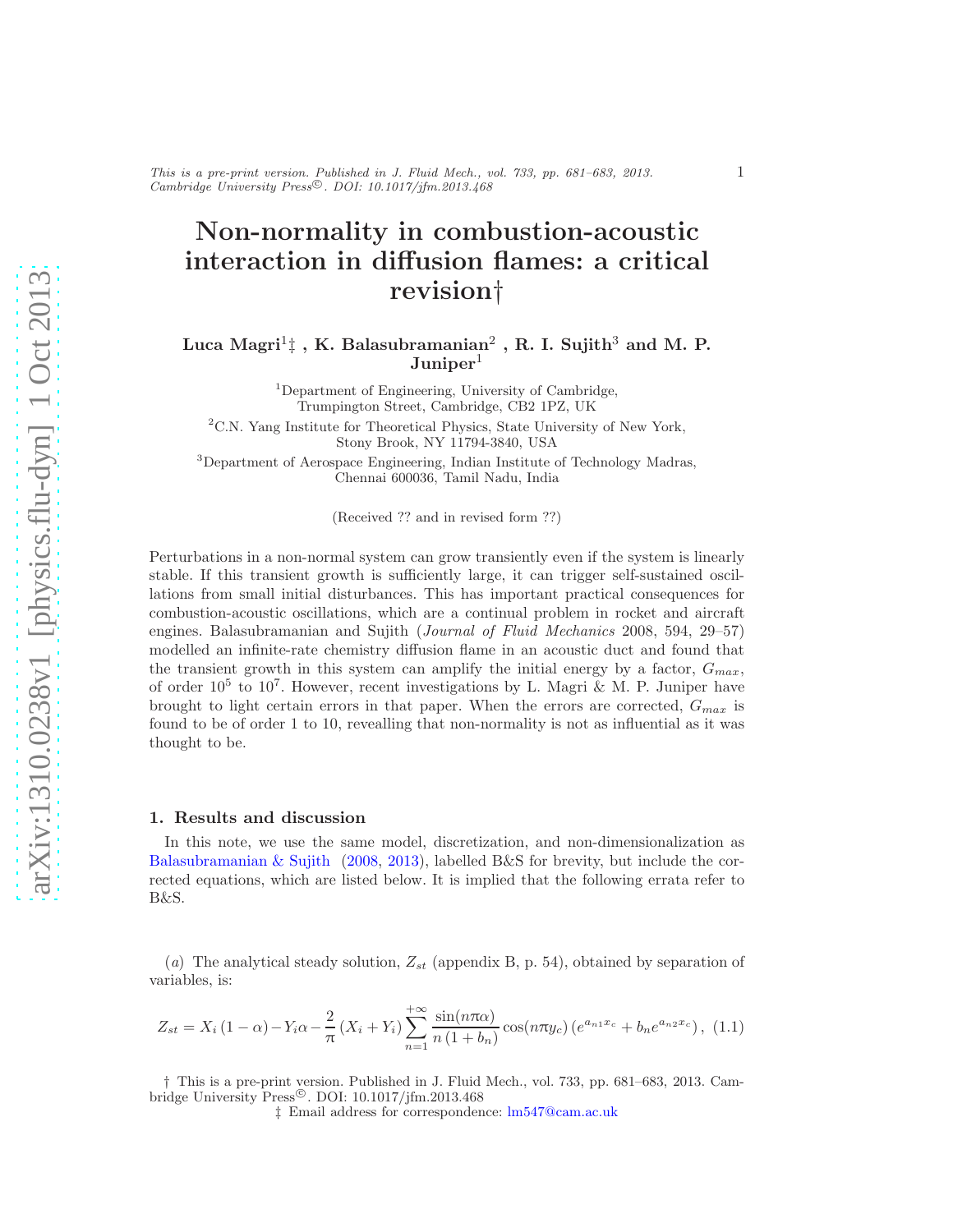## Non-normality in combustion-acoustic interaction in diffusion flames: a critical revision†

## Luca Magri $^1\sharp$  , K. Balasubramanian $^2$  , R. I. Sujith $^3$  and M. P.  $\text{Juniper}^1$

<sup>1</sup>Department of Engineering, University of Cambridge, Trumpington Street, Cambridge, CB2 1PZ, UK

 ${}^{2}$ C.N. Yang Institute for Theoretical Physics, State University of New York, Stony Brook, NY 11794-3840, USA

<sup>3</sup>Department of Aerospace Engineering, Indian Institute of Technology Madras, Chennai 600036, Tamil Nadu, India

(Received ?? and in revised form ??)

Perturbations in a non-normal system can grow transiently even if the system is linearly stable. If this transient growth is sufficiently large, it can trigger self-sustained oscillations from small initial disturbances. This has important practical consequences for combustion-acoustic oscillations, which are a continual problem in rocket and aircraft engines. Balasubramanian and Sujith (Journal of Fluid Mechanics 2008, 594, 29–57) modelled an infinite-rate chemistry diffusion flame in an acoustic duct and found that the transient growth in this system can amplify the initial energy by a factor,  $G_{max}$ , of order  $10^5$  to  $10^7$ . However, recent investigations by L. Magri & M. P. Juniper have brought to light certain errors in that paper. When the errors are corrected,  $G_{max}$  is found to be of order 1 to 10, revealling that non-normality is not as influential as it was thought to be.

## 1. Results and discussion

In this note, we use the same model, discretization, and non-dimensionalization as [Balasubramanian & Sujith](#page-2-0) [\(2008](#page-2-0), [2013](#page-2-1)), labelled B&S for brevity, but include the corrected equations, which are listed below. It is implied that the following errata refer to B&S.

(a) The analytical steady solution,  $Z_{st}$  (appendix B, p. 54), obtained by separation of variables, is:

$$
Z_{st} = X_i (1 - \alpha) - Y_i \alpha - \frac{2}{\pi} (X_i + Y_i) \sum_{n=1}^{+\infty} \frac{\sin(n\pi\alpha)}{n(1+b_n)} \cos(n\pi y_c) (e^{a_{n1}x_c} + b_n e^{a_{n2}x_c}),
$$
 (1.1)

† This is a pre-print version. Published in J. Fluid Mech., vol. 733, pp. 681–683, 2013. Cambridge University Press<sup>©</sup>. DOI: 10.1017/jfm.2013.468

‡ Email address for correspondence: [lm547@cam.ac.uk](mailto:lm547@cam.ac.uk)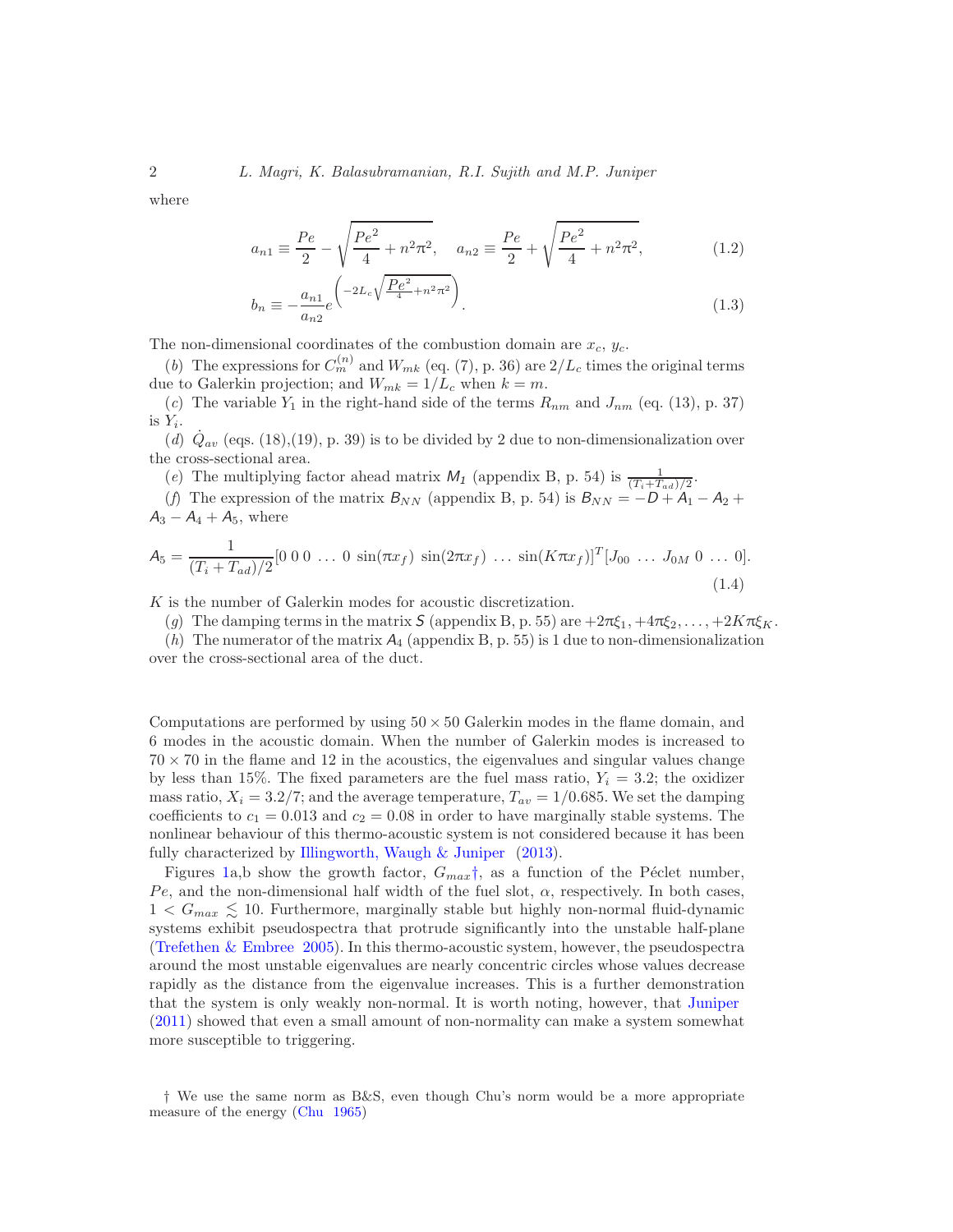where

$$
a_{n1} \equiv \frac{Pe}{2} - \sqrt{\frac{Pe^2}{4} + n^2 \pi^2}, \quad a_{n2} \equiv \frac{Pe}{2} + \sqrt{\frac{Pe^2}{4} + n^2 \pi^2},
$$
 (1.2)

$$
b_n \equiv -\frac{a_{n1}}{a_{n2}} e^{\left(-2L_c \sqrt{\frac{Pe^2}{4} + n^2 \pi^2}\right)}.
$$
\n(1.3)

The non-dimensional coordinates of the combustion domain are  $x_c, y_c$ .

(b) The expressions for  $C_m^{(n)}$  and  $W_{mk}$  (eq. (7), p. 36) are  $2/L_c$  times the original terms due to Galerkin projection; and  $W_{mk} = 1/L_c$  when  $k = m$ .

(c) The variable  $Y_1$  in the right-hand side of the terms  $R_{nm}$  and  $J_{nm}$  (eq. (13), p. 37) is  $Y_i$ .

(d)  $\dot{Q}_{av}$  (eqs. (18),(19), p. 39) is to be divided by 2 due to non-dimensionalization over the cross-sectional area.

(e) The multiplying factor ahead matrix  $M_1$  (appendix B, p. 54) is  $\frac{1}{(T_i+T_{ad})/2}$ .

(f) The expression of the matrix  $B_{NN}$  (appendix B, p. 54) is  $B_{NN} = -D + A_1 - A_2 +$  $A_3 - A_4 + A_5$ , where

$$
A_5 = \frac{1}{(T_i + T_{ad})/2} [0\ 0\ 0\ \dots\ 0\ \sin(\pi x_f)\ \sin(2\pi x_f)\ \dots\ \sin(K\pi x_f)]^T [J_{00}\ \dots\ J_{0M}\ 0\ \dots\ 0].
$$
\n(1.4)

K is the number of Galerkin modes for acoustic discretization.

(g) The damping terms in the matrix S (appendix B, p. 55) are  $+2\pi\xi_1, +4\pi\xi_2, \ldots, +2K\pi\xi_K$ .

(h) The numerator of the matrix  $A_4$  (appendix B, p. 55) is 1 due to non-dimensionalization over the cross-sectional area of the duct.

Computations are performed by using  $50 \times 50$  Galerkin modes in the flame domain, and 6 modes in the acoustic domain. When the number of Galerkin modes is increased to  $70 \times 70$  in the flame and 12 in the acoustics, the eigenvalues and singular values change by less than 15%. The fixed parameters are the fuel mass ratio,  $Y_i = 3.2$ ; the oxidizer mass ratio,  $X_i = 3.2/7$ ; and the average temperature,  $T_{av} = 1/0.685$ . We set the damping coefficients to  $c_1 = 0.013$  and  $c_2 = 0.08$  in order to have marginally stable systems. The nonlinear behaviour of this thermo-acoustic system is not considered because it has been fully characterized by [Illingworth, Waugh & Juniper](#page-3-0) [\(2013](#page-3-0)).

Figures [1a](#page-2-2),b show the growth factor,  $G_{max}$ <sup>[†](#page-1-0)</sup>, as a function of the Péclet number, Pe, and the non-dimensional half width of the fuel slot,  $\alpha$ , respectively. In both cases,  $1 < G_{max} \lesssim 10$ . Furthermore, marginally stable but highly non-normal fluid-dynamic systems exhibit pseudospectra that protrude significantly into the unstable half-plane [\(Trefethen & Embree 2005\)](#page-3-1). In this thermo-acoustic system, however, the pseudospectra around the most unstable eigenvalues are nearly concentric circles whose values decrease rapidly as the distance from the eigenvalue increases. This is a further demonstration that the system is only weakly non-normal. It is worth noting, however, that [Juniper](#page-2-3) [\(2011\)](#page-2-3) showed that even a small amount of non-normality can make a system somewhat more susceptible to triggering.

<span id="page-1-0"></span><sup>†</sup> We use the same norm as B&S, even though Chu's norm would be a more appropriate measure of the energy [\(Chu 1965](#page-2-4))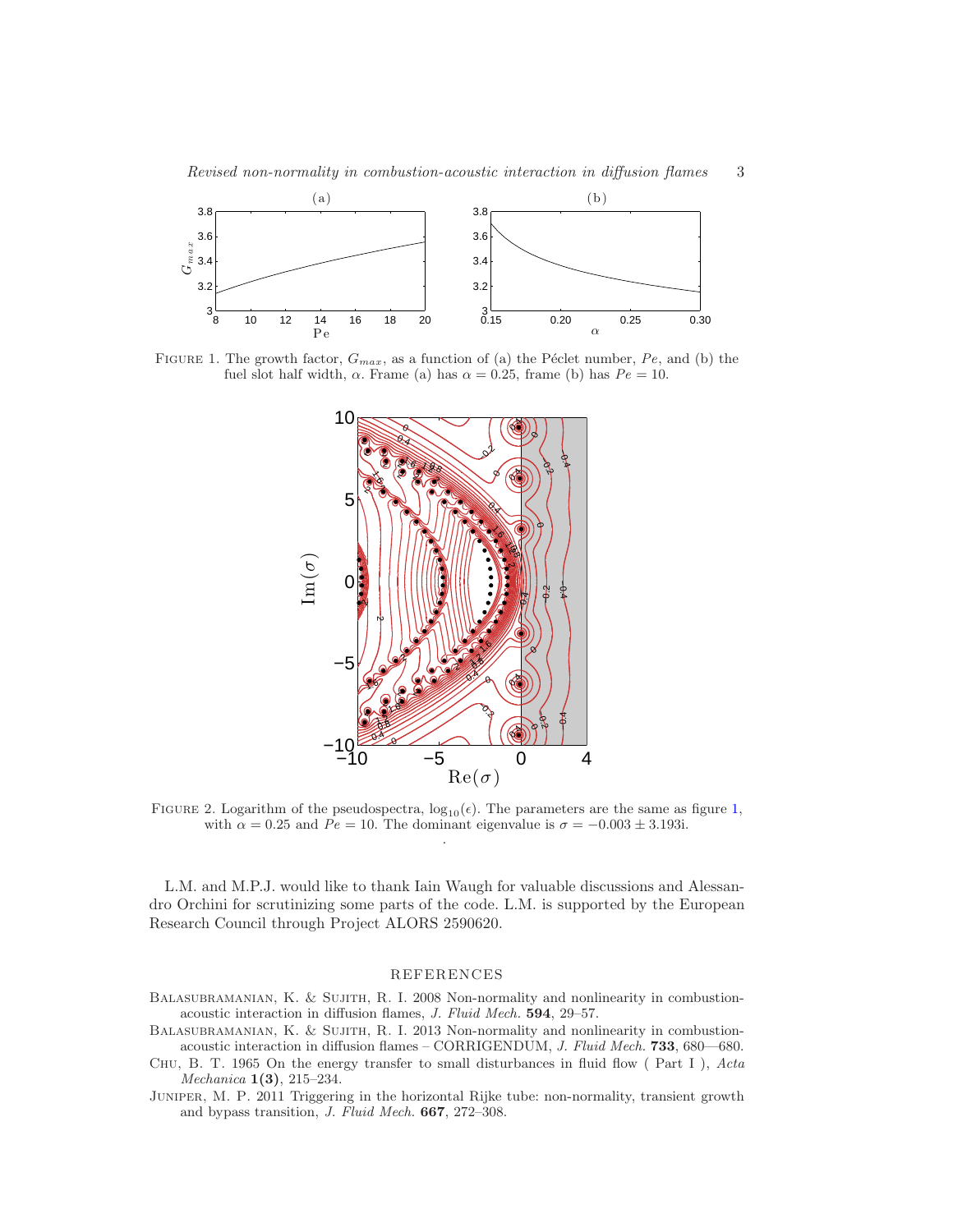

FIGURE 1. The growth factor,  $G_{max}$ , as a function of (a) the Péclet number, Pe, and (b) the fuel slot half width,  $\alpha$ . Frame (a) has  $\alpha = 0.25$ , frame (b) has  $Pe = 10$ .

<span id="page-2-2"></span>

FIGURE 2. Logarithm of the pseudospectra,  $log_{10}(\epsilon)$ . The parameters are the same as figure [1,](#page-2-2) with  $\alpha = 0.25$  and  $Pe = 10$ . The dominant eigenvalue is  $\sigma = -0.003 \pm 3.193$ . .

L.M. and M.P.J. would like to thank Iain Waugh for valuable discussions and Alessandro Orchini for scrutinizing some parts of the code. L.M. is supported by the European Research Council through Project ALORS 2590620.

## REFERENCES

- <span id="page-2-0"></span>BALASUBRAMANIAN, K. & SUJITH, R. I. 2008 Non-normality and nonlinearity in combustionacoustic interaction in diffusion flames, J. Fluid Mech. 594, 29–57.
- <span id="page-2-1"></span>BALASUBRAMANIAN, K. & SUJITH, R. I. 2013 Non-normality and nonlinearity in combustionacoustic interaction in diffusion flames – CORRIGENDUM, J. Fluid Mech. 733, 680—680.
- <span id="page-2-4"></span>CHU, B. T. 1965 On the energy transfer to small disturbances in fluid flow (Part I), Acta Mechanica 1(3), 215–234.

<span id="page-2-3"></span>Juniper, M. P. 2011 Triggering in the horizontal Rijke tube: non-normality, transient growth and bypass transition, J. Fluid Mech. 667, 272–308.